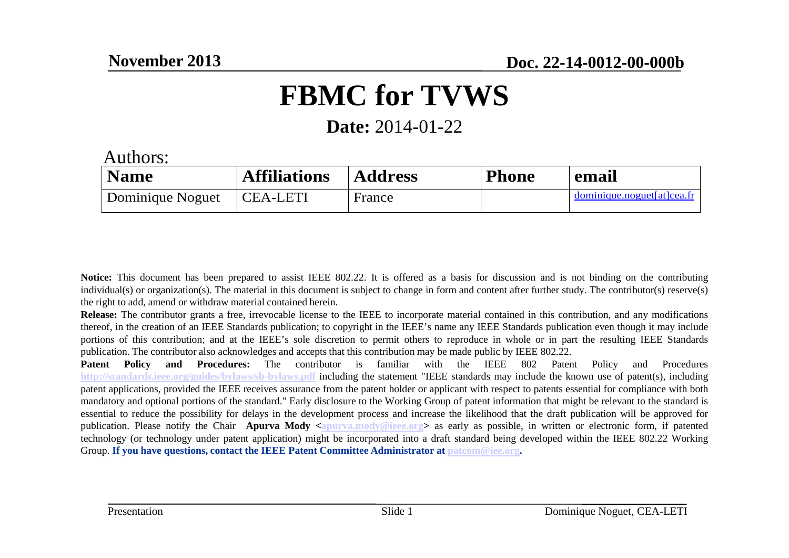### **FBMC for TVWS**

**Date:** 2014-01-22

Authors:

| <b>Name</b>      | <b>Affiliations</b> | <b>Address</b> | <b>Phone</b> | email                      |
|------------------|---------------------|----------------|--------------|----------------------------|
| Dominique Noguet | CEA-LETI            | France         |              | dominique.noguet[at]cea.fr |

**Notice:** This document has been prepare<sup>d</sup> to assist IEEE 802.22. It is offered as <sup>a</sup> basis for discussion and is not binding on the contributing individual(s) or organization(s). The material in this document is subject to change in form and content after further study. The contributor(s) reserve(s)the right to add, amend or withdraw material contained herein.

**Release:** The contributor grants <sup>a</sup> free, irrevocable license to the IEEE to incorporate material contained in this contribution, and any modifications thereof, in the creation of an IEEE Standards publication; to copyright in the IEEE's name any IEEE Standards publication even though it may include portions of this contribution; and at the IEEE's sole discretion to permit others to reproduce in whole or in par<sup>t</sup> the resulting IEEE Standardspublication. The contributor also acknowledges and accepts that this contribution may be made public by IEEE 802.22.

**Patent Policy and Procedures:** The contributor is familiar with the IEEE <sup>802</sup> Patent Policy and Procedures **http://standards.ieee.org/guides/bylaws/sb-bylaws.pdf** including the statement "IEEE standards may include the known use of patent(s), including patent applications, provided the IEEE receives assurance from the patent holder or applicant with respec<sup>t</sup> to patents essential for compliance with both mandatory and optional portions of the standard." Early disclosure to the Working Group of patent information that might be relevant to the standard is essential to reduce the possibility for delays in the development process and increase the likelihood that the draft publication will be approved forpublication. Please notify the Chair **Apurva Mody** <apurva.mody@ieee.org> as early as possible, in written or electronic form, if patented technology (or technology under patent application) might be incorporated into <sup>a</sup> draft standard being developed within the IEEE 802.22 WorkingGroup. **If you have questions, contact the IEEE Patent Committee Administrator at <u>patcom@iee.org</u>.**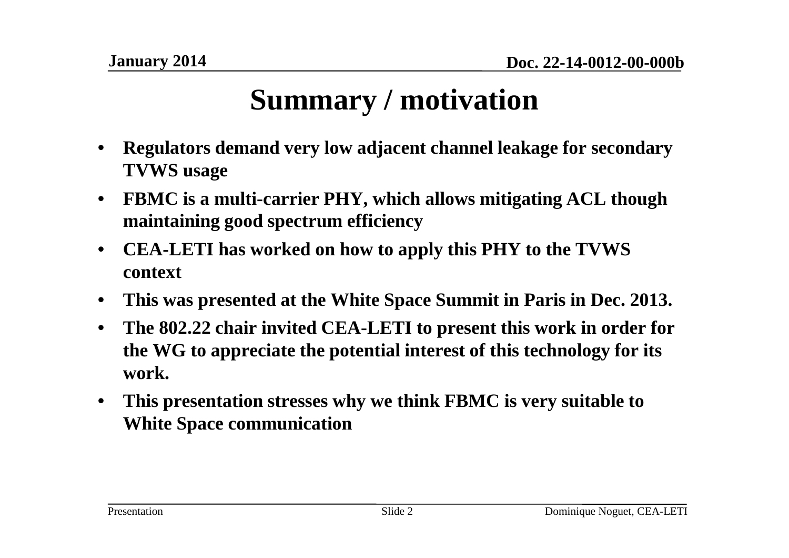### **Summary / motivation**

- $\bullet$  **Regulators demand very low adjacent channel leakage for secondary TVWS usage**
- $\bullet$  **FBMC is a multi-carrier PHY, which allows mitigating ACL though maintaining good spectrum efficiency**
- $\bullet$  **CEA-LETI has worked on how to apply this PHY to the TVWS context**
- $\bullet$ **This was presented at the White Space Summit in Paris in Dec. 2013.**
- $\bullet$  **The 802.22 chair invited CEA-LETI to present this work in order for the WG to appreciate the potential interest of this technology for its work.**
- $\bullet$  **This presentation stresses why we think FBMC is very suitable to White Space communication**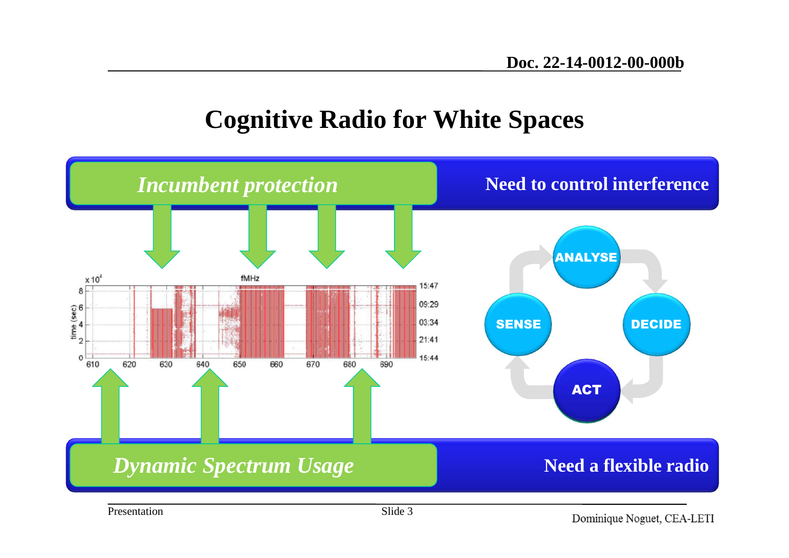### **Cognitive Radio for White Spaces**

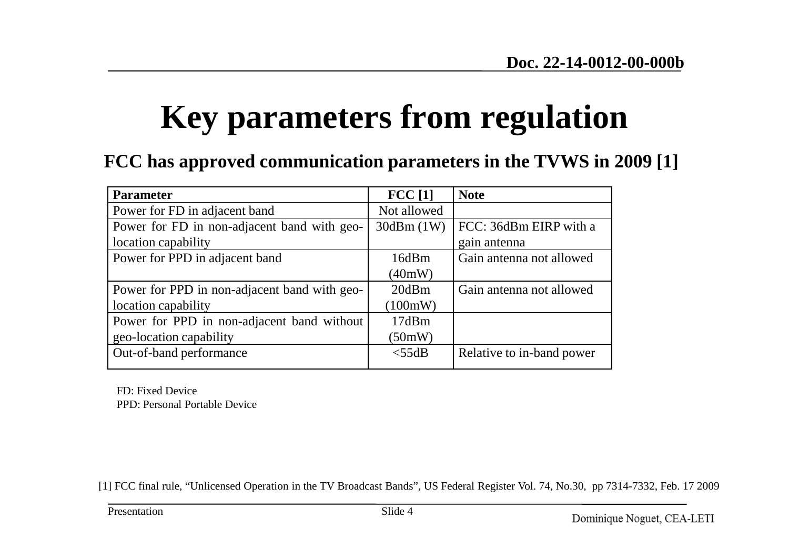# **Key parameters from regulation**

#### **FCC has approved communication parameters in the TVWS in 2009 [1]**

| <b>Parameter</b>                             | FCC[1]      | <b>Note</b>               |
|----------------------------------------------|-------------|---------------------------|
| Power for FD in adjacent band                | Not allowed |                           |
| Power for FD in non-adjacent band with geo-  | 30dBm(1W)   | FCC: 36dBm EIRP with a    |
| location capability                          |             | gain antenna              |
| Power for PPD in adjacent band               | 16dBm       | Gain antenna not allowed  |
|                                              | (40mW)      |                           |
| Power for PPD in non-adjacent band with geo- | 20dBm       | Gain antenna not allowed  |
| location capability                          | (100mW)     |                           |
| Power for PPD in non-adjacent band without   | 17dBm       |                           |
| geo-location capability                      | (50mW)      |                           |
| Out-of-band performance                      | $<$ 55dB    | Relative to in-band power |

FD: Fixed DevicePPD: Personal Portable Device

[1] FCC final rule, "Unlicensed Operation in the TV Broadcast Bands", US Federal Register Vol. 74, No.30, pp 7314-7332, Feb. 17 2009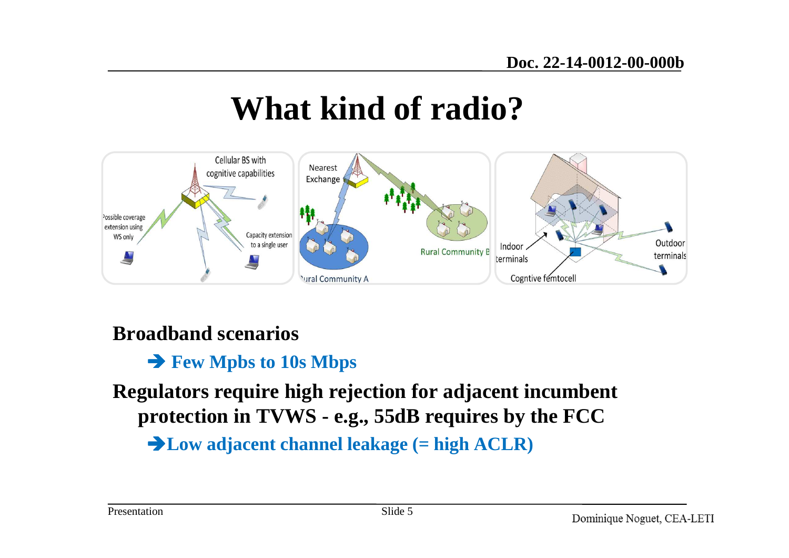## **What kind of radio?**

![](_page_4_Figure_2.jpeg)

#### **Broadband scenarios**

## **Few Mpbs to 10s Mbps**

**Regulators require high rejection for adjacent incumbent protection in TVWS - e.g., 55dB requires by the FCC**

**Low adjacent channel leakage (= high ACLR)**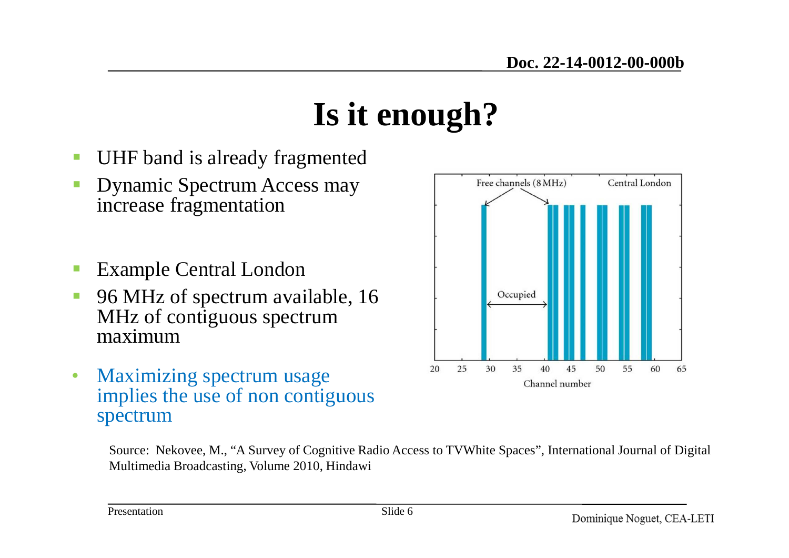## **Is it enough?**

- -UHF band is already fragmented
- Dynamic Spectrum Access may increase fragmentation
- -Example Central London
- - 96 MHz of spectrum available, 16 MHz of contiguous spectrum maximum
- • Maximizing spectrum usage implies the use of non contiguous spectrum

![](_page_5_Figure_7.jpeg)

Source: Nekovee, M., "A Survey of Cognitive Radio Access to TVWhite Spaces", International Journal of Digital Multimedia Broadcasting, Volume 2010, Hindawi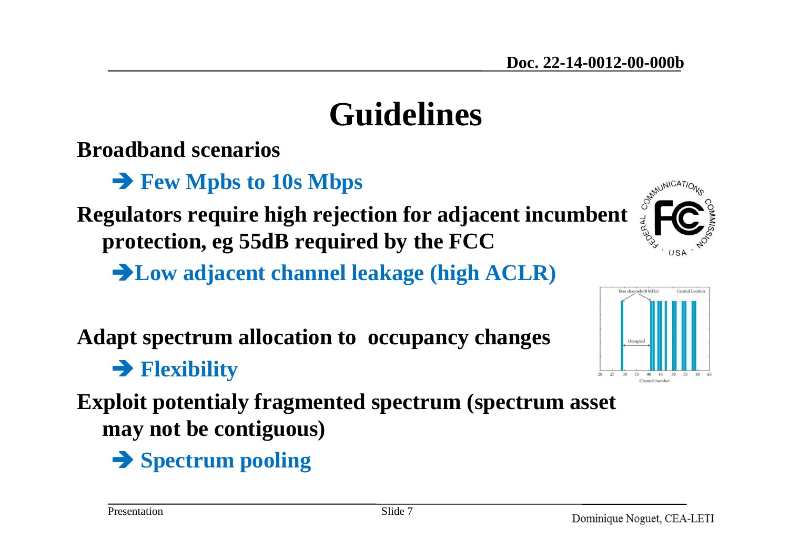## **Guidelines**

**Broadband scenarios** 

Few Mpbs **to 10s Mbps**<br> **Example to regard to high redeem** 

**Regulators require high rejection for adjacent incumbent protection, eg 55dB required by the FCC**

**Low adjacent channel leakage (high ACLR)**

**Adapt spectrum allocation to occupancy changes**

**Flexibility** 

**Exploit potentialy fragmented spectrum (spectrum asset may not be contiguous)**

**Spectrum pooling**

![](_page_6_Picture_13.jpeg)

![](_page_6_Figure_14.jpeg)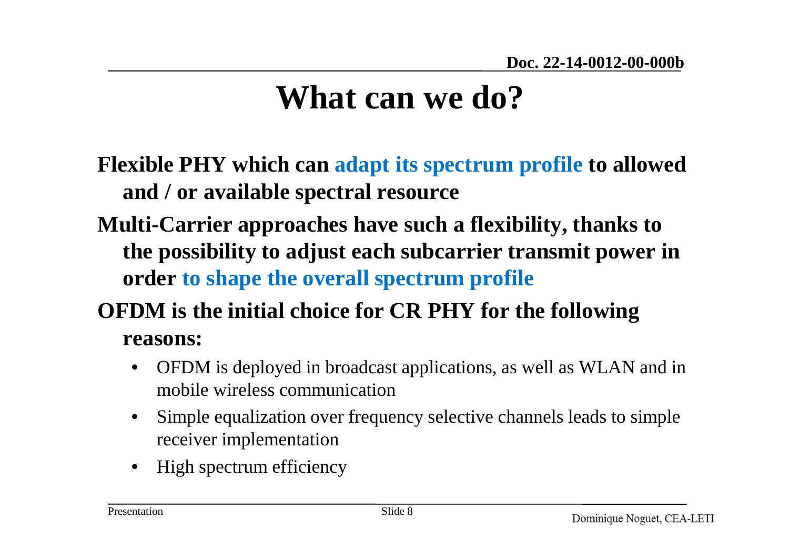## **What can we do?**

- **Flexible PHY which can adapt its spectrum profile to allowed and / or available spectral resource**
- **Multi-Carrier approaches have such a flexibility, thanks to the possibility to adjust each subcarrier transmit power in order to shape the overall spectrum profile**

#### **OFDM is the initial choice for CR PHY for the following reasons:**

- $\bullet$  OFDM is deployed in broadcast applications, as well as WLAN and in mobile wireless communication
- • Simple equalization over frequency selective channels leads to simple receiver implementation
- $\bullet$ High spectrum efficiency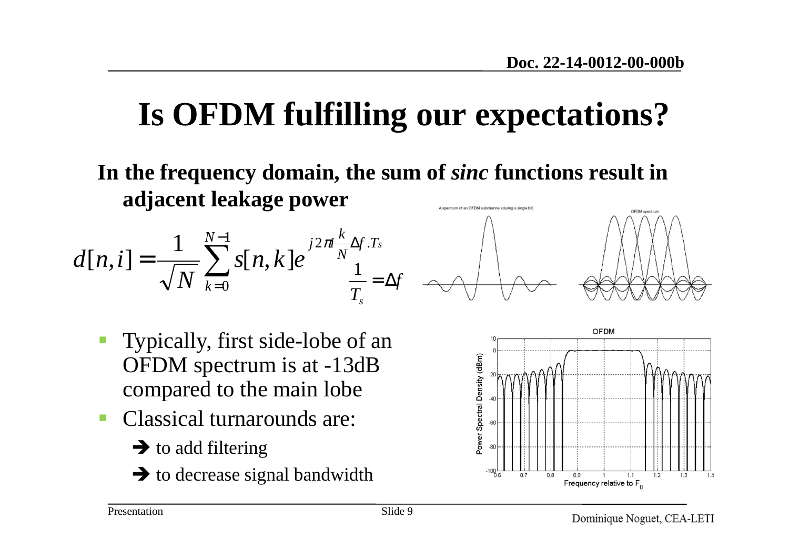## **Is OFDM fulfilling our expectations?**

**In the frequency domain, the sum of** *sinc* **functions result in adjacent leakage power**ectrum of an OFDM subchannel (during a single bit) OFDM spectrun

$$
d[n,i] = \frac{1}{\sqrt{N}} \sum_{k=0}^{N-1} s[n,k] e^{j2\pi i \frac{k}{N} \Delta f.T_s}
$$

$$
\frac{1}{T_s} = \Delta f
$$

![](_page_8_Figure_4.jpeg)

![](_page_8_Figure_5.jpeg)

- Typically, first side-lobe of an OFDM spectrum is at -13dB compared to the main lobe
- - Classical turnarounds are:
	- $\rightarrow$  to add filtering
	- $\rightarrow$  to decrease signal bandwidth

![](_page_8_Figure_10.jpeg)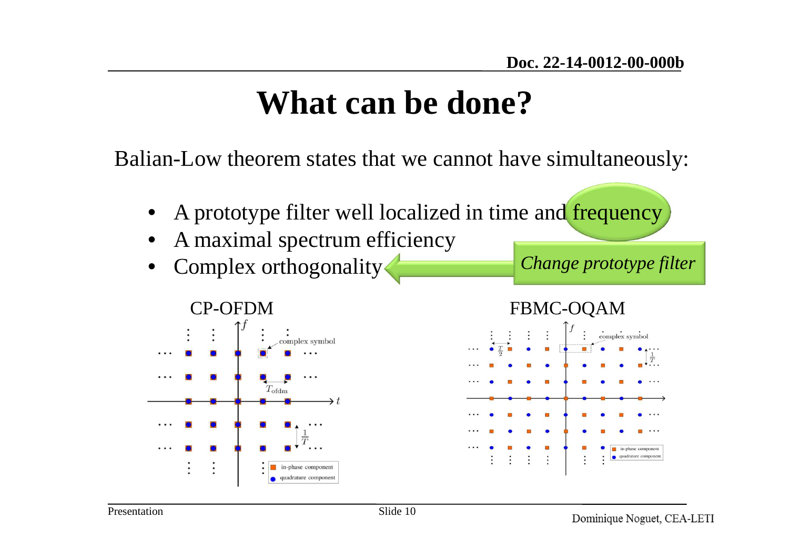## **What can be done?**

Balian-Low theorem states that we cannot have simultaneously:

- •A prototype filter well localized in time and frequency
- •A maximal spectrum efficiency
- •Complex orthogonality

*Change prototype filter*

![](_page_9_Figure_7.jpeg)

![](_page_9_Figure_8.jpeg)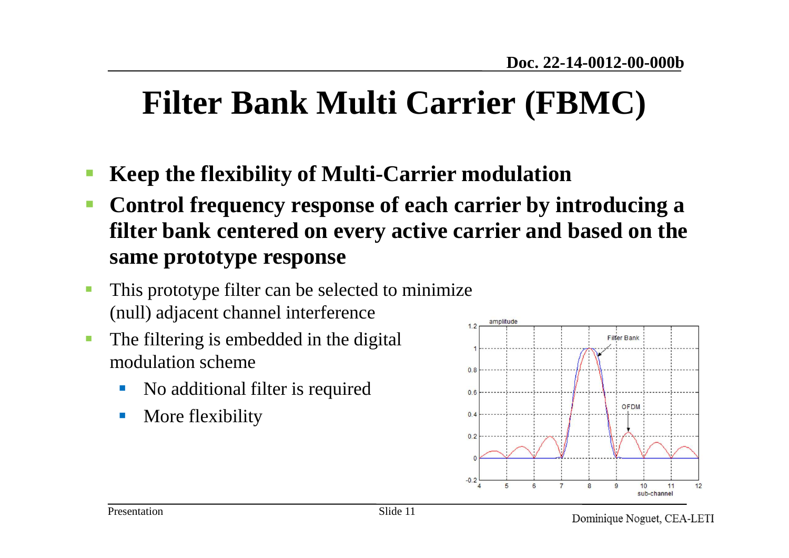## **Filter Bank Multi Carrier (FBMC)**

- **Keep the flexibility of Multi-Carrier modulation**
- $\Box$  **Control frequency response of each carrier by introducing a filter bank centered on every active carrier and based on the same prototype response**
- - This prototype filter can be selected to minimize (null) adjacent channel interference
- - The filtering is embedded in the digital modulation scheme
	- $\overline{\phantom{a}}$ No additional filter is required
	- $\mathbb{R}^2$ More flexibility

![](_page_10_Figure_8.jpeg)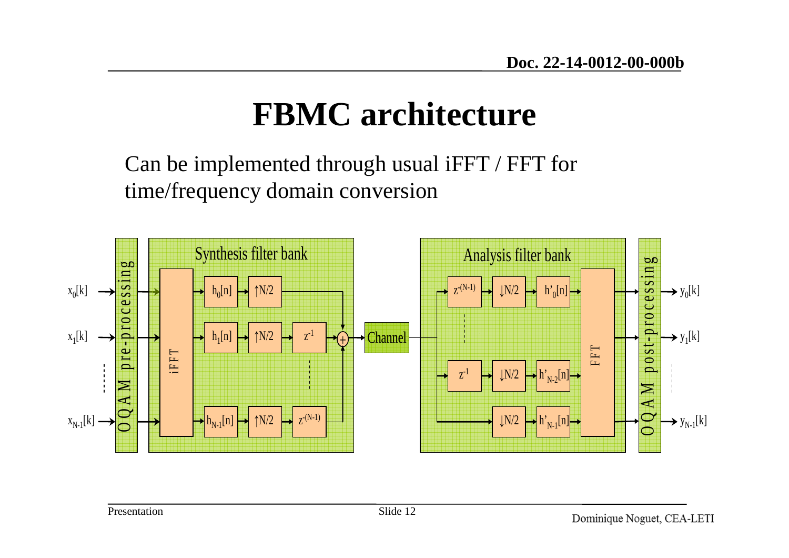## **FBMC architecture**

Can be implemented through usual iFFT / FFT for time/frequency domain conversion

![](_page_11_Figure_3.jpeg)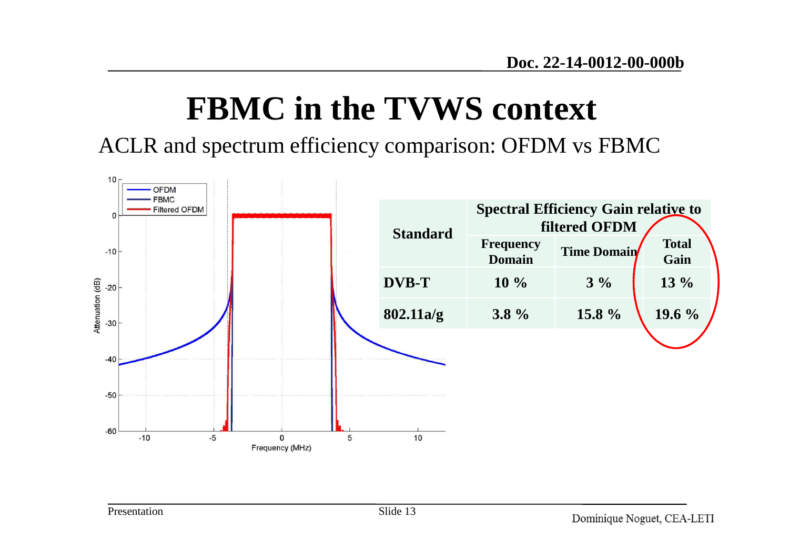## **FBMC in the TVWS context**

ACLR and spectrum efficiency comparison: OFDM vs FBMC

![](_page_12_Figure_3.jpeg)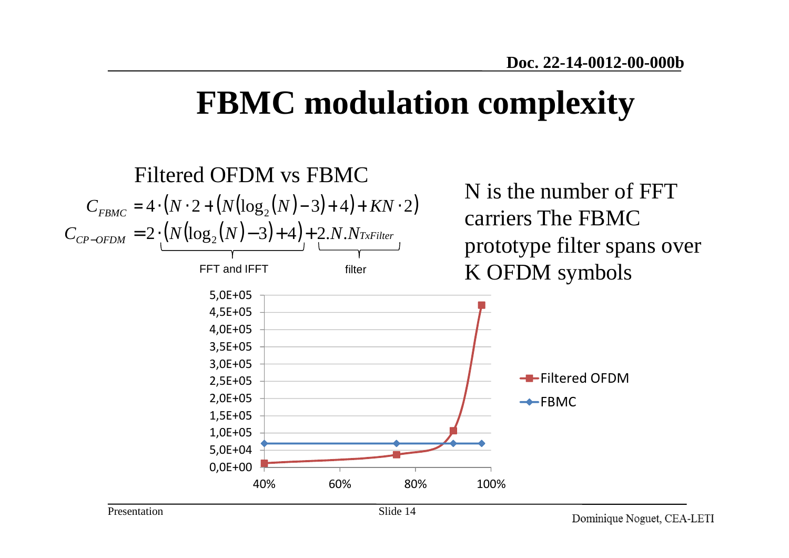## **FBMC modulation complexity**

![](_page_13_Figure_2.jpeg)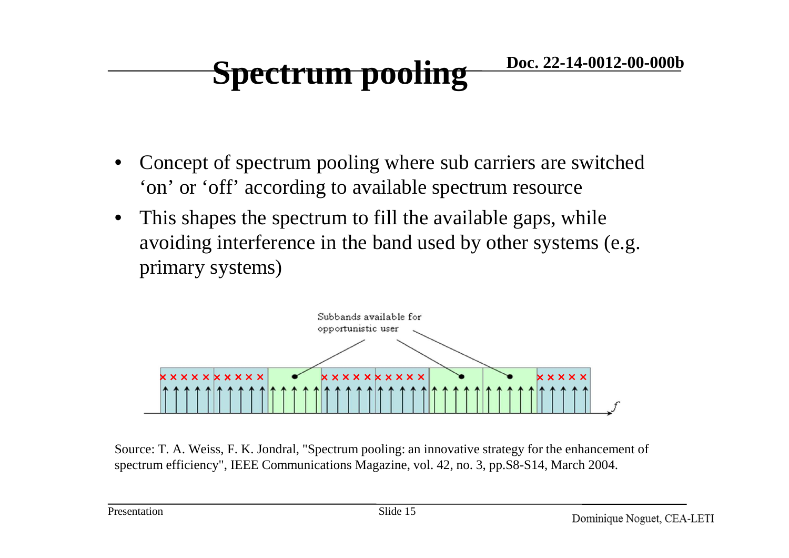#### **Doc. 22-14-0012-00-000bSpectrum pooling**

- • Concept of spectrum pooling where sub carriers are switched 'on' or 'off' according to available spectrum resource
- • This shapes the spectrum to fill the available gaps, while avoiding interference in the band used by other systems (e.g. primary systems)

![](_page_14_Figure_3.jpeg)

Source: T. A. Weiss, F. K. Jondral, "Spectrum pooling: an innovative strategy for the enhancement of spectrum efficiency", IEEE Communications Magazine, vol. 42, no. 3, pp.S8-S14, March 2004.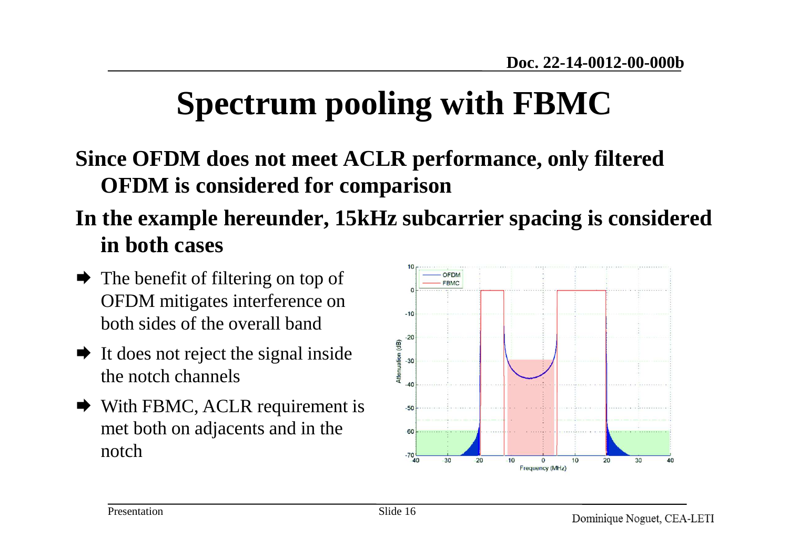## **Spectrum pooling with FBMC**

### **Since OFDM does not meet ACLR performance, only filtered OFDM is considered for comparison**

### **In the example hereunder, 15kHz subcarrier spacing is considered in both cases**

- $\rightarrow$  The benefit of filtering on top of<br>OFDM mitigates interference on OFDM mitigates interference on both sides of the overall band
- $\blacktriangleright$  It does not reject the signal inside<br>the noteb channels the notch channels
- $\blacktriangleright$  With FBMC, ACLR requirement is<br>mot both on adjacents and in the met both on adjacents and in the notch

![](_page_15_Figure_7.jpeg)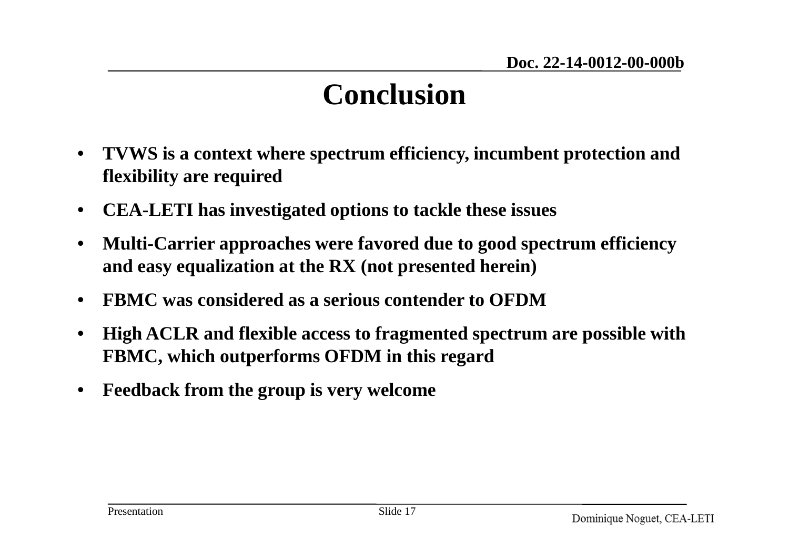### **Conclusion**

- $\bullet$  **TVWS is a context where spectrum efficiency, incumbent protection and flexibility are required**
- •**CEA-LETI has investigated options to tackle these issues**
- • **Multi-Carrier approaches were favored due to good spectrum efficiency and easy equalization at the RX (not presented herein)**
- •**FBMC was considered as a serious contender to OFDM**
- • **High ACLR and flexible access to fragmented spectrum are possible with FBMC, which outperforms OFDM in this regard**
- •**Feedback from the group is very welcome**